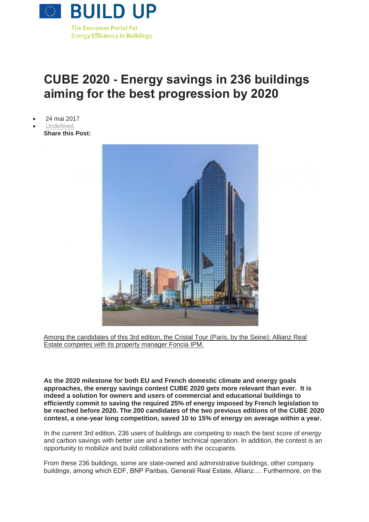

## **CUBE 2020 - Energy savings in 236 buildings aiming for the best progression by 2020**

- 24 mai 2017
- [Undefined](http://www.buildup.eu/fr/taxonomy/term/294) **Share this Post:**



Among the candidates of this 3rd edition, the Cristal Tour (Paris, by the Seine): Allianz Real [Estate competes with its property manager Foncia IPM.](http://www.buildup.eu/sites/default/files/illustrations/cristal_tour.jpg)

**As the 2020 milestone for both EU and French domestic climate and energy goals approaches, the energy savings contest CUBE 2020 gets more relevant than ever. It is indeed a solution for owners and users of commercial and educational buildings to efficiently commit to saving the required 25% of energy imposed by French legislation to be reached before 2020. The 200 candidates of the two previous editions of the CUBE 2020 contest, a one-year long competition, saved 10 to 15% of energy on average within a year.**

In the current 3rd edition, 236 users of buildings are competing to reach the best score of energy and carbon savings with better use and a better technical operation. In addition, the contest is an opportunity to mobilize and build collaborations with the occupants.

From these 236 buildings, some are state-owned and administrative buildings, other company buildings, among which EDF, BNP Paribas, Generali Real Estate, Allianz…. Furthermore, on the